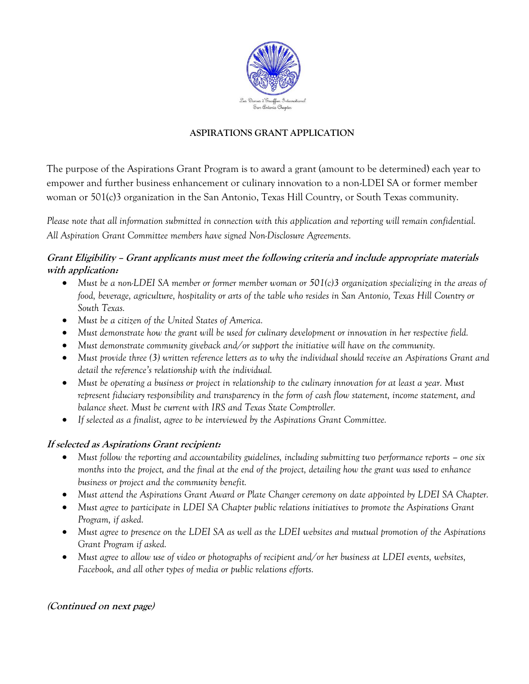

## **ASPIRATIONS GRANT APPLICATION**

The purpose of the Aspirations Grant Program is to award a grant (amount to be determined) each year to empower and further business enhancement or culinary innovation to a non-LDEI SA or former member woman or 501(c)3 organization in the San Antonio, Texas Hill Country, or South Texas community.

*Please note that all information submitted in connection with this application and reporting will remain confidential. All Aspiration Grant Committee members have signed Non-Disclosure Agreements.*

## **Grant Eligibility – Grant applicants must meet the following criteria and include appropriate materials with application:**

- *Must be a non-LDEI SA member or former member woman or 501(c)3 organization specializing in the areas of food, beverage, agriculture, hospitality or arts of the table who resides in San Antonio, Texas Hill Country or South Texas.*
- *Must be a citizen of the United States of America.*
- *Must demonstrate how the grant will be used for culinary development or innovation in her respective field.*
- *Must demonstrate community giveback and/or support the initiative will have on the community.*
- *Must provide three (3) written reference letters as to why the individual should receive an Aspirations Grant and detail the reference's relationship with the individual.*
- *Must be operating a business or project in relationship to the culinary innovation for at least a year. Must represent fiduciary responsibility and transparency in the form of cash flow statement, income statement, and balance sheet. Must be current with IRS and Texas State Comptroller.*
- *If selected as a finalist, agree to be interviewed by the Aspirations Grant Committee.*

### **If selected as Aspirations Grant recipient:**

- Must follow the reporting and accountability guidelines, including submitting two performance reports one six *months into the project, and the final at the end of the project, detailing how the grant was used to enhance business or project and the community benefit.*
- *Must attend the Aspirations Grant Award or Plate Changer ceremony on date appointed by LDEI SA Chapter.*
- *Must agree to participate in LDEI SA Chapter public relations initiatives to promote the Aspirations Grant Program, if asked.*
- *Must agree to presence on the LDEI SA as well as the LDEI websites and mutual promotion of the Aspirations Grant Program if asked.*
- *Must agree to allow use of video or photographs of recipient and/or her business at LDEI events, websites, Facebook, and all other types of media or public relations efforts.*

# **(Continued on next page)**